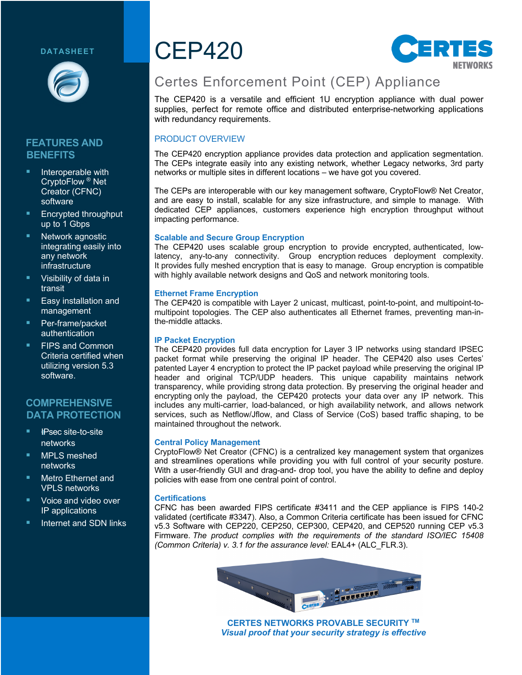### **DATASHEET**



# **FEATURES AND BENEFITS**

- Interoperable with CryptoFlow ® Net Creator (CFNC) software
- § Encrypted throughput up to 1 Gbps
- Network agnostic integrating easily into any network infrastructure
- § Visibility of data in transit
- § Easy installation and management
- § Per-frame/packet authentication
- § FIPS and Common Criteria certified when utilizing version 5.3 software.

# **COMPREHENSIVE DATA PROTECTION**

- § !*I*IPsec site-to-site networks
- § MPLS meshed networks
- § Metro Ethernet and VPLS networks
- § Voice and video over IP applications
- § Internet and SDN links

# CEP420



# Certes Enforcement Point (CEP) Appliance

The CEP420 is a versatile and efficient 1U encryption appliance with dual power supplies, perfect for remote office and distributed enterprise-networking applications with redundancy requirements.

# PRODUCT OVERVIEW

The CEP420 encryption appliance provides data protection and application segmentation. The CEPs integrate easily into any existing network, whether Legacy networks, 3rd party networks or multiple sites in different locations – we have got you covered.

The CEPs are interoperable with our key management software, CryptoFlow® Net Creator, and are easy to install, scalable for any size infrastructure, and simple to manage. With dedicated CEP appliances, customers experience high encryption throughput without impacting performance.

### **Scalable and Secure Group Encryption**

The CEP420 uses scalable group encryption to provide encrypted, authenticated, lowlatency, any-to-any connectivity. Group encryption reduces deployment complexity. It provides fully meshed encryption that is easy to manage. Group encryption is compatible with highly available network designs and QoS and network monitoring tools.

### **Ethernet Frame Encryption**

The CEP420 is compatible with Layer 2 unicast, multicast, point-to-point, and multipoint-tomultipoint topologies. The CEP also authenticates all Ethernet frames, preventing man-inthe-middle attacks.

### **IP Packet Encryption**

The CEP420 provides full data encryption for Layer 3 IP networks using standard IPSEC packet format while preserving the original IP header. The CEP420 also uses Certes' patented Layer 4 encryption to protect the IP packet payload while preserving the original IP header and original TCP/UDP headers. This unique capability maintains network transparency, while providing strong data protection. By preserving the original header and encrypting only the payload, the CEP420 protects your data over any IP network. This includes any multi-carrier, load-balanced, or high availability network, and allows network services, such as Netflow/Jflow, and Class of Service (CoS) based traffic shaping, to be maintained throughout the network.

### **Central Policy Management**

CryptoFlow® Net Creator (CFNC) is a centralized key management system that organizes and streamlines operations while providing you with full control of your security posture. With a user-friendly GUI and drag-and- drop tool, you have the ability to define and deploy policies with ease from one central point of control.

#### **Certifications**

CFNC has been awarded FIPS certificate #3411 and the CEP appliance is FIPS 140-2 validated (certificate #3347). Also, a Common Criteria certificate has been issued for CFNC v5.3 Software with CEP220, CEP250, CEP300, CEP420, and CEP520 running CEP v5.3 Firmware. *The product complies with the requirements of the standard ISO/IEC 15408 (Common Criteria) v. 3.1 for the assurance level:* EAL4+ (ALC\_FLR.3).



**CERTES NETWORKS PROVABLE SECURITY TM** *Visual proof that your security strategy is effective*